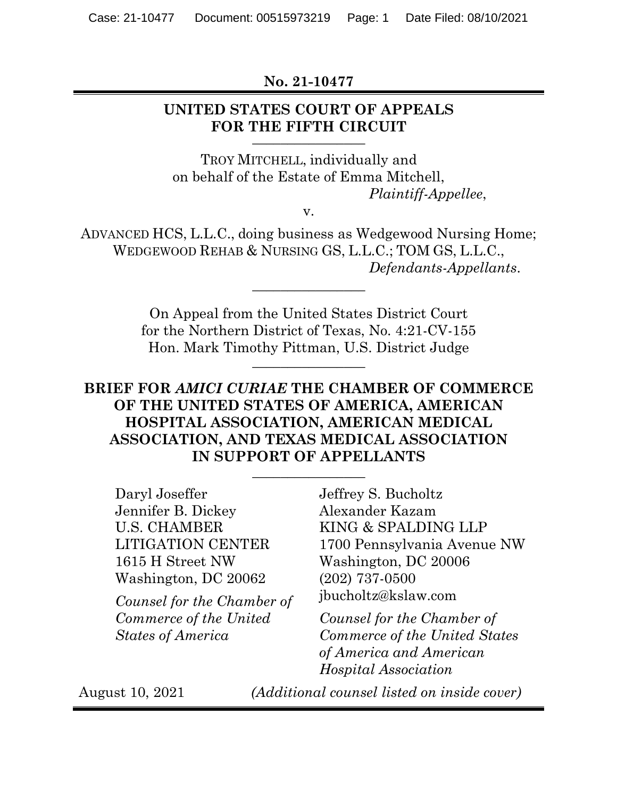**No. 21-10477**

### **UNITED STATES COURT OF APPEALS FOR THE FIFTH CIRCUIT \_\_\_\_\_\_\_\_\_\_\_\_\_\_\_\_**

TROY MITCHELL, individually and on behalf of the Estate of Emma Mitchell, *Plaintiff-Appellee*,

v.

ADVANCED HCS, L.L.C., doing business as Wedgewood Nursing Home; WEDGEWOOD REHAB & NURSING GS, L.L.C.; TOM GS, L.L.C., *Defendants-Appellants*.

\_\_\_\_\_\_\_\_\_\_\_\_\_\_\_\_

On Appeal from the United States District Court for the Northern District of Texas, No. 4:21-CV-155 Hon. Mark Timothy Pittman, U.S. District Judge **\_\_\_\_\_\_\_\_\_\_\_\_\_\_\_\_**

# **BRIEF FOR** *AMICI CURIAE* **THE CHAMBER OF COMMERCE OF THE UNITED STATES OF AMERICA, AMERICAN HOSPITAL ASSOCIATION, AMERICAN MEDICAL ASSOCIATION, AND TEXAS MEDICAL ASSOCIATION IN SUPPORT OF APPELLANTS**

\_\_\_\_\_\_\_\_\_\_\_\_\_\_\_\_

Daryl Joseffer Jennifer B. Dickey U.S. CHAMBER LITIGATION CENTER 1615 H Street NW Washington, DC 20062

*Counsel for the Chamber of Commerce of the United States of America*

Jeffrey S. Bucholtz Alexander Kazam KING & SPALDING LLP 1700 Pennsylvania Avenue NW Washington, DC 20006 (202) 737-0500 jbucholtz@kslaw.com

*Counsel for the Chamber of Commerce of the United States of America and American Hospital Association*

August 10, 2021 *(Additional counsel listed on inside cover)*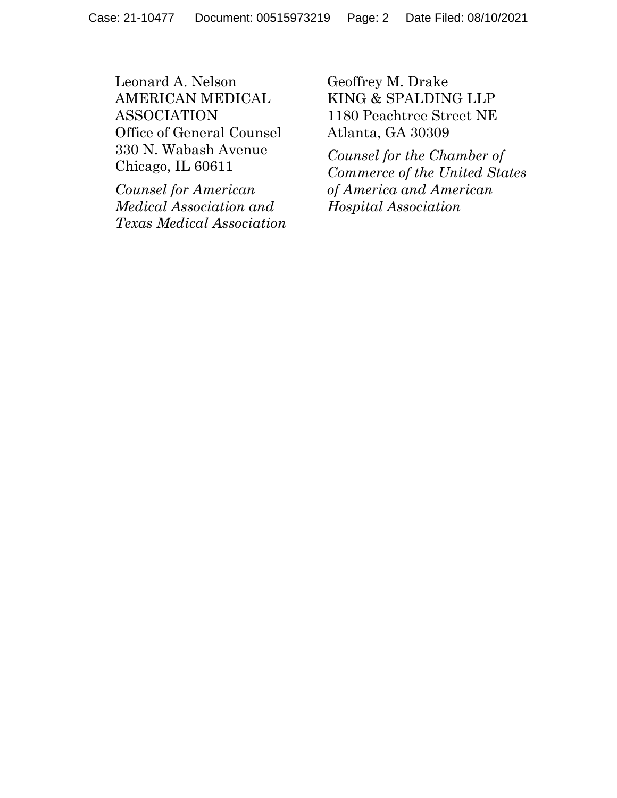Leonard A. Nelson AMERICAN MEDICAL ASSOCIATION Office of General Counsel 330 N. Wabash Avenue Chicago, IL 60611

*Counsel for American Medical Association and Texas Medical Association* Geoffrey M. Drake KING & SPALDING LLP 1180 Peachtree Street NE Atlanta, GA 30309

*Counsel for the Chamber of Commerce of the United States of America and American Hospital Association*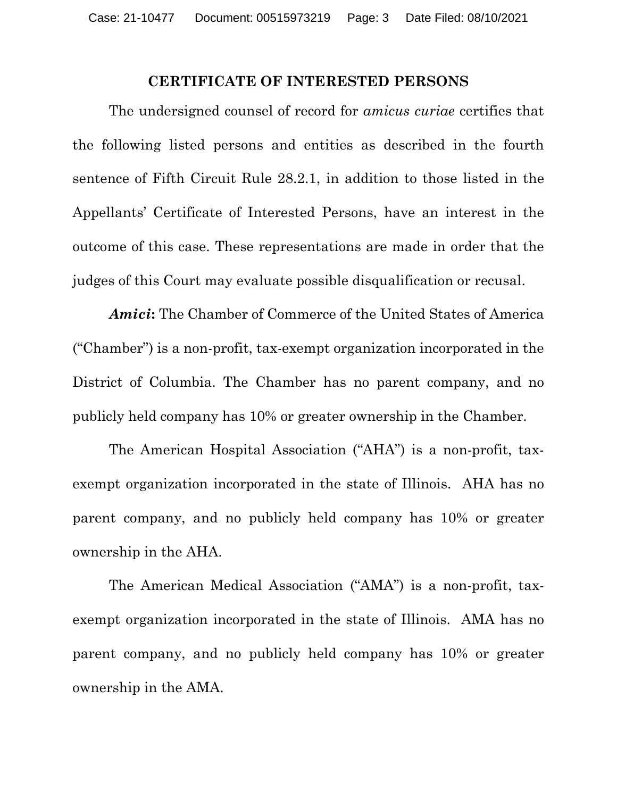### **CERTIFICATE OF INTERESTED PERSONS**

<span id="page-2-0"></span>The undersigned counsel of record for *amicus curiae* certifies that the following listed persons and entities as described in the fourth sentence of Fifth Circuit Rule 28.2.1, in addition to those listed in the Appellants' Certificate of Interested Persons, have an interest in the outcome of this case. These representations are made in order that the judges of this Court may evaluate possible disqualification or recusal.

*Amici***:** The Chamber of Commerce of the United States of America ("Chamber") is a non-profit, tax-exempt organization incorporated in the District of Columbia. The Chamber has no parent company, and no publicly held company has 10% or greater ownership in the Chamber.

The American Hospital Association ("AHA") is a non-profit, taxexempt organization incorporated in the state of Illinois. AHA has no parent company, and no publicly held company has 10% or greater ownership in the AHA.

The American Medical Association ("AMA") is a non-profit, taxexempt organization incorporated in the state of Illinois. AMA has no parent company, and no publicly held company has 10% or greater ownership in the AMA.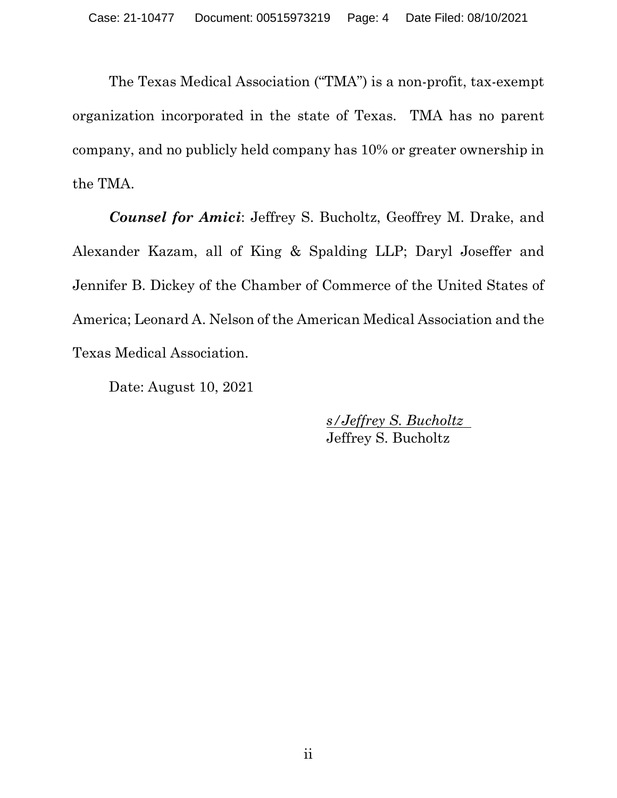The Texas Medical Association ("TMA") is a non-profit, tax-exempt organization incorporated in the state of Texas. TMA has no parent company, and no publicly held company has 10% or greater ownership in the TMA.

*Counsel for Amici*: Jeffrey S. Bucholtz, Geoffrey M. Drake, and Alexander Kazam, all of King & Spalding LLP; Daryl Joseffer and Jennifer B. Dickey of the Chamber of Commerce of the United States of America; Leonard A. Nelson of the American Medical Association and the Texas Medical Association.

Date: August 10, 2021

*s/Jeffrey S. Bucholtz* Jeffrey S. Bucholtz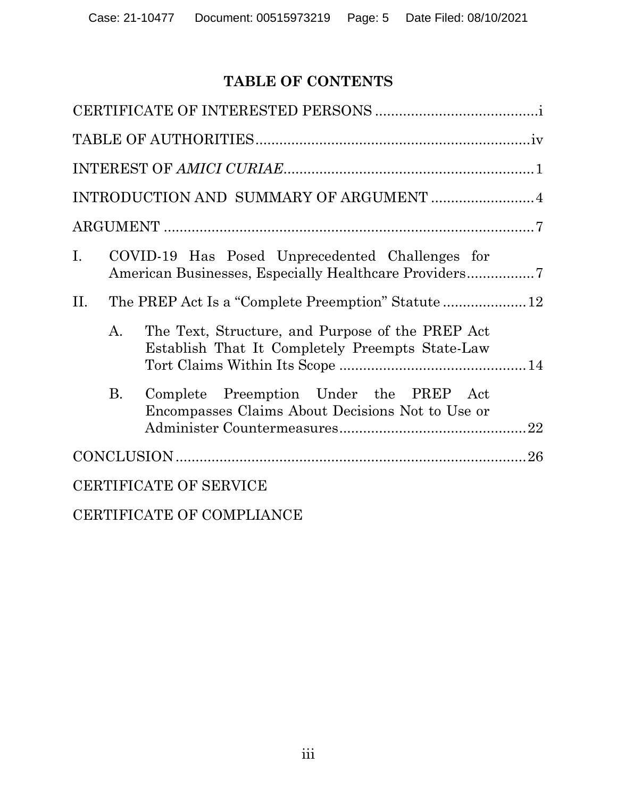# **TABLE OF CONTENTS**

[CERTIFICATE OF COMPLIANCE](#page-37-0)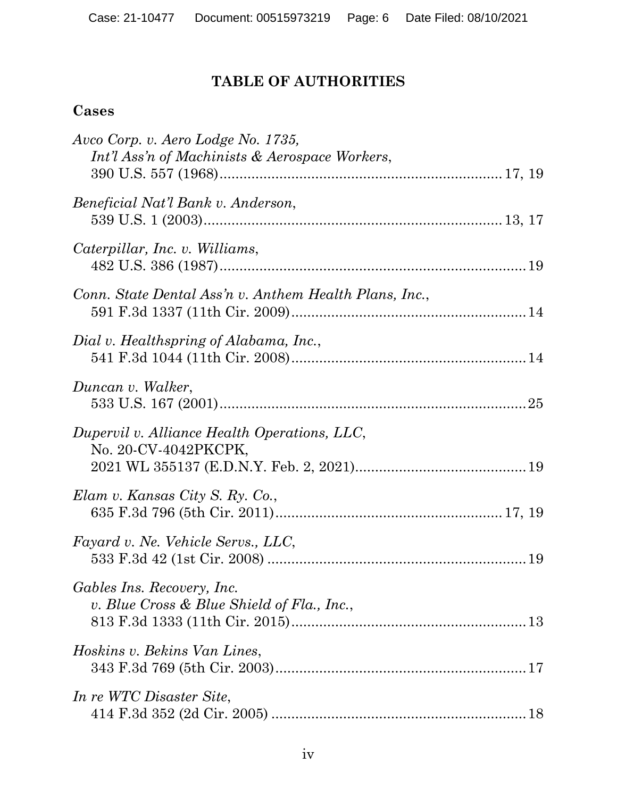# **TABLE OF AUTHORITIES**

# <span id="page-5-0"></span>**Cases**

| Avco Corp. v. Aero Lodge No. 1735,<br>Int'l Ass'n of Machinists & Aerospace Workers, |
|--------------------------------------------------------------------------------------|
| Beneficial Nat'l Bank v. Anderson,                                                   |
| Caterpillar, Inc. v. Williams,                                                       |
| Conn. State Dental Ass'n v. Anthem Health Plans, Inc.,                               |
| Dial v. Healthspring of Alabama, Inc.,                                               |
| Duncan v. Walker,                                                                    |
| Dupervil v. Alliance Health Operations, LLC,<br>No. 20-CV-4042PKCPK,                 |
| Elam v. Kansas City S. Ry. Co.,                                                      |
| Fayard v. Ne. Vehicle Servs., LLC,                                                   |
| Gables Ins. Recovery, Inc.<br>v. Blue Cross & Blue Shield of Fla., Inc.,             |
| Hoskins v. Bekins Van Lines,                                                         |
| In re WTC Disaster Site,                                                             |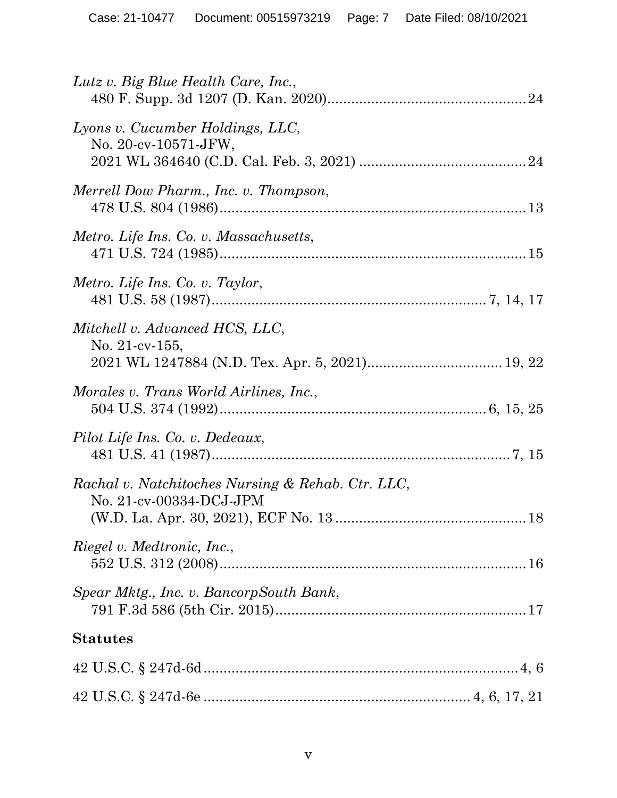| Lutz v. Big Blue Health Care, Inc.,                                          |
|------------------------------------------------------------------------------|
| Lyons v. Cucumber Holdings, LLC,<br>No. 20-cv-10571-JFW,                     |
| Merrell Dow Pharm., Inc. v. Thompson,                                        |
| Metro. Life Ins. Co. v. Massachusetts,                                       |
| Metro. Life Ins. Co. v. Taylor,                                              |
| Mitchell v. Advanced HCS, LLC,<br>No. $21$ -cv- $155$ ,                      |
| Morales v. Trans World Airlines, Inc.,                                       |
| Pilot Life Ins. Co. v. Dedeaux,                                              |
| Rachal v. Natchitoches Nursing & Rehab. Ctr. LLC,<br>No. 21-cv-00334-DCJ-JPM |
| <i>Riegel v. Medtronic, Inc.,</i>                                            |
| Spear Mktg., Inc. v. BancorpSouth Bank,                                      |
| <b>Statutes</b>                                                              |
|                                                                              |
|                                                                              |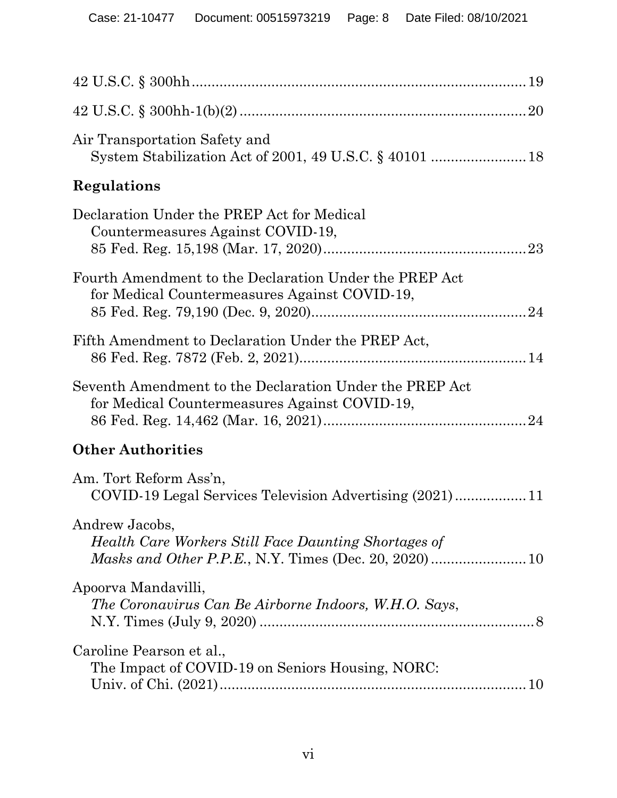| Air Transportation Safety and                                                                            |
|----------------------------------------------------------------------------------------------------------|
| Regulations                                                                                              |
| Declaration Under the PREP Act for Medical<br>Countermeasures Against COVID-19,                          |
| Fourth Amendment to the Declaration Under the PREP Act<br>for Medical Countermeasures Against COVID-19,  |
| Fifth Amendment to Declaration Under the PREP Act,                                                       |
| Seventh Amendment to the Declaration Under the PREP Act<br>for Medical Countermeasures Against COVID-19, |
| <b>Other Authorities</b>                                                                                 |
| Am. Tort Reform Ass'n,<br>COVID-19 Legal Services Television Advertising (2021)11                        |
| Andrew Jacobs,<br>Health Care Workers Still Face Daunting Shortages of                                   |
| Apoorva Mandavilli,<br>The Coronavirus Can Be Airborne Indoors, W.H.O. Says,                             |
| Caroline Pearson et al.,<br>The Impact of COVID-19 on Seniors Housing, NORC:                             |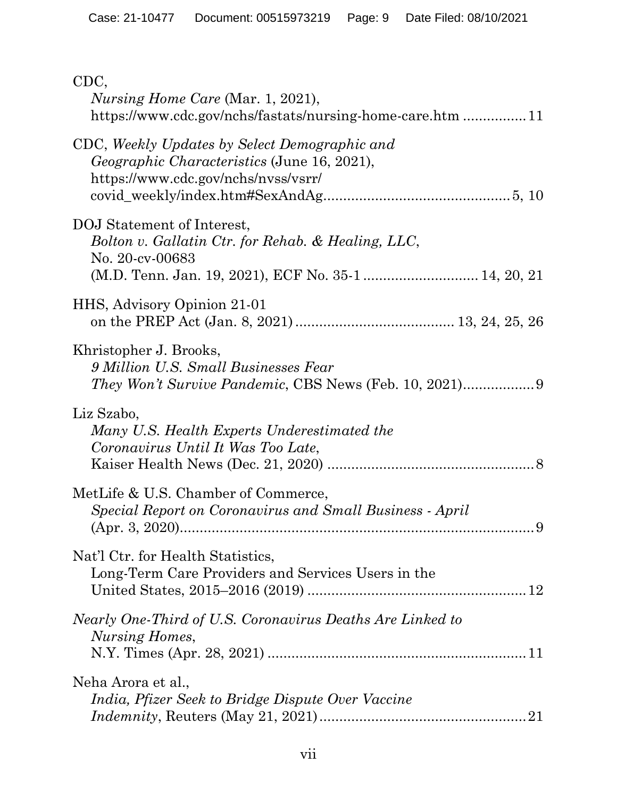| CDC,<br><i>Nursing Home Care (Mar. 1, 2021),</i><br>https://www.cdc.gov/nchs/fastats/nursing-home-care.htm 11                              |
|--------------------------------------------------------------------------------------------------------------------------------------------|
| CDC, Weekly Updates by Select Demographic and<br><i>Geographic Characteristics</i> (June 16, 2021),<br>https://www.cdc.gov/nchs/nvss/vsrr/ |
| DOJ Statement of Interest,<br>Bolton v. Gallatin Ctr. for Rehab. & Healing, LLC,<br>No. 20-cv-00683                                        |
| HHS, Advisory Opinion 21-01                                                                                                                |
| Khristopher J. Brooks,<br>9 Million U.S. Small Businesses Fear<br><i>They Won't Survive Pandemic, CBS News (Feb. 10, 2021)</i> 9           |
| Liz Szabo,<br>Many U.S. Health Experts Underestimated the<br>Coronavirus Until It Was Too Late,                                            |
| MetLife & U.S. Chamber of Commerce,<br>Special Report on Coronavirus and Small Business - April                                            |
| Nat'l Ctr. for Health Statistics,<br>Long-Term Care Providers and Services Users in the                                                    |
| Nearly One-Third of U.S. Coronavirus Deaths Are Linked to<br>Nursing Homes,                                                                |
| Neha Arora et al.,<br><i>India, Pfizer Seek to Bridge Dispute Over Vaccine</i>                                                             |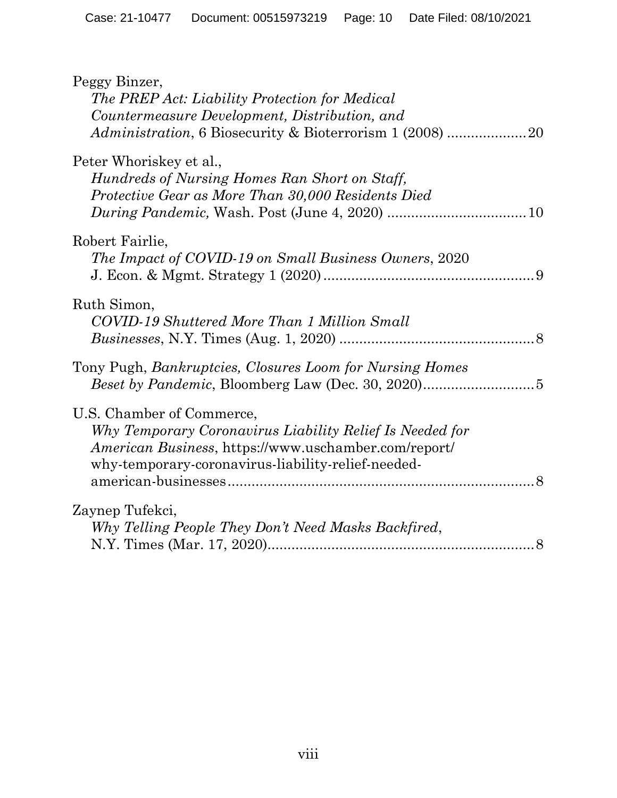| Peggy Binzer,<br>The PREP Act: Liability Protection for Medical<br>Countermeasure Development, Distribution, and                                                                                    |
|-----------------------------------------------------------------------------------------------------------------------------------------------------------------------------------------------------|
| Peter Whoriskey et al.,<br>Hundreds of Nursing Homes Ran Short on Staff,<br>Protective Gear as More Than 30,000 Residents Died                                                                      |
| Robert Fairlie,<br>The Impact of COVID-19 on Small Business Owners, 2020                                                                                                                            |
| Ruth Simon,<br>COVID-19 Shuttered More Than 1 Million Small                                                                                                                                         |
| Tony Pugh, <i>Bankruptcies</i> , <i>Closures Loom for Nursing Homes</i>                                                                                                                             |
| U.S. Chamber of Commerce,<br>Why Temporary Coronavirus Liability Relief Is Needed for<br>American Business, https://www.uschamber.com/report/<br>why-temporary-coronavirus-liability-relief-needed- |
| Zaynep Tufekci,<br>Why Telling People They Don't Need Masks Backfired,                                                                                                                              |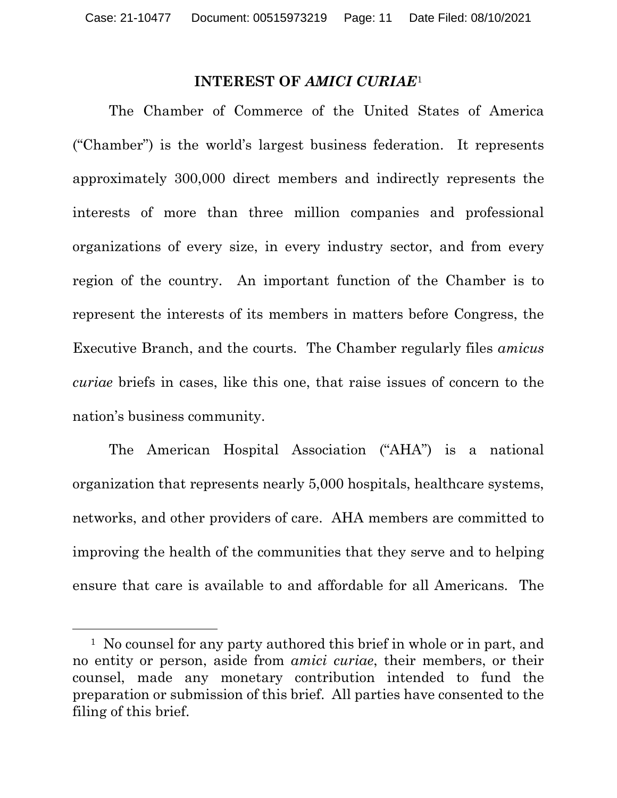#### **INTEREST OF** *AMICI CURIAE*[1](#page-10-1)

<span id="page-10-0"></span>The Chamber of Commerce of the United States of America ("Chamber") is the world's largest business federation. It represents approximately 300,000 direct members and indirectly represents the interests of more than three million companies and professional organizations of every size, in every industry sector, and from every region of the country. An important function of the Chamber is to represent the interests of its members in matters before Congress, the Executive Branch, and the courts. The Chamber regularly files *amicus curiae* briefs in cases, like this one, that raise issues of concern to the nation's business community.

The American Hospital Association ("AHA") is a national organization that represents nearly 5,000 hospitals, healthcare systems, networks, and other providers of care. AHA members are committed to improving the health of the communities that they serve and to helping ensure that care is available to and affordable for all Americans. The

<span id="page-10-1"></span><sup>&</sup>lt;sup>1</sup> No counsel for any party authored this brief in whole or in part, and no entity or person, aside from *amici curiae*, their members, or their counsel, made any monetary contribution intended to fund the preparation or submission of this brief. All parties have consented to the filing of this brief.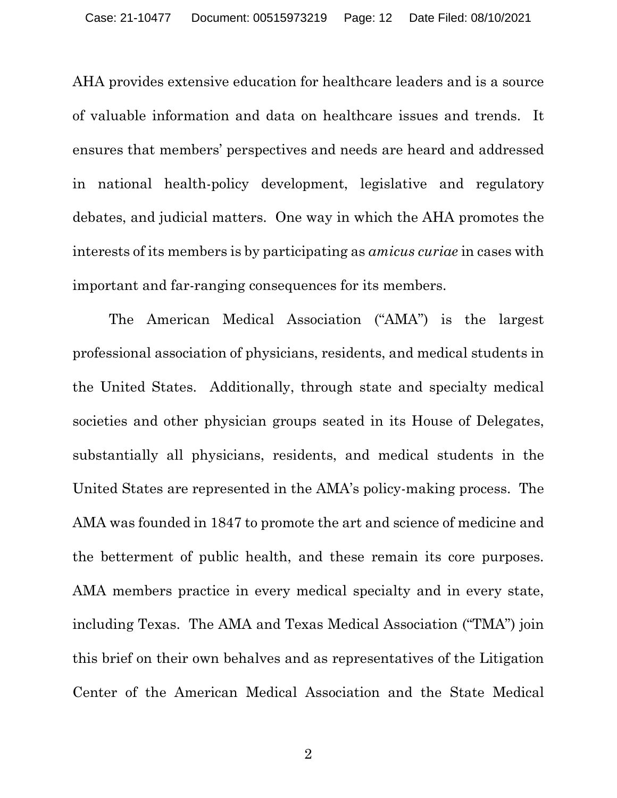AHA provides extensive education for healthcare leaders and is a source of valuable information and data on healthcare issues and trends. It ensures that members' perspectives and needs are heard and addressed in national health-policy development, legislative and regulatory debates, and judicial matters. One way in which the AHA promotes the interests of its members is by participating as *amicus curiae* in cases with important and far-ranging consequences for its members.

The American Medical Association ("AMA") is the largest professional association of physicians, residents, and medical students in the United States. Additionally, through state and specialty medical societies and other physician groups seated in its House of Delegates, substantially all physicians, residents, and medical students in the United States are represented in the AMA's policy-making process. The AMA was founded in 1847 to promote the art and science of medicine and the betterment of public health, and these remain its core purposes. AMA members practice in every medical specialty and in every state, including Texas. The AMA and Texas Medical Association ("TMA") join this brief on their own behalves and as representatives of the Litigation Center of the American Medical Association and the State Medical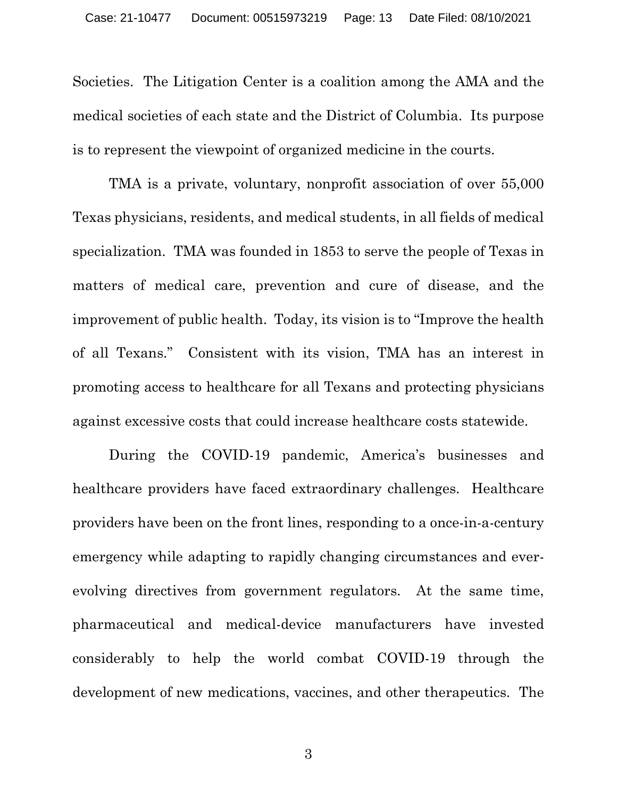Societies. The Litigation Center is a coalition among the AMA and the medical societies of each state and the District of Columbia. Its purpose is to represent the viewpoint of organized medicine in the courts.

TMA is a private, voluntary, nonprofit association of over 55,000 Texas physicians, residents, and medical students, in all fields of medical specialization. TMA was founded in 1853 to serve the people of Texas in matters of medical care, prevention and cure of disease, and the improvement of public health. Today, its vision is to "Improve the health of all Texans." Consistent with its vision, TMA has an interest in promoting access to healthcare for all Texans and protecting physicians against excessive costs that could increase healthcare costs statewide.

During the COVID-19 pandemic, America's businesses and healthcare providers have faced extraordinary challenges. Healthcare providers have been on the front lines, responding to a once-in-a-century emergency while adapting to rapidly changing circumstances and everevolving directives from government regulators. At the same time, pharmaceutical and medical-device manufacturers have invested considerably to help the world combat COVID-19 through the development of new medications, vaccines, and other therapeutics. The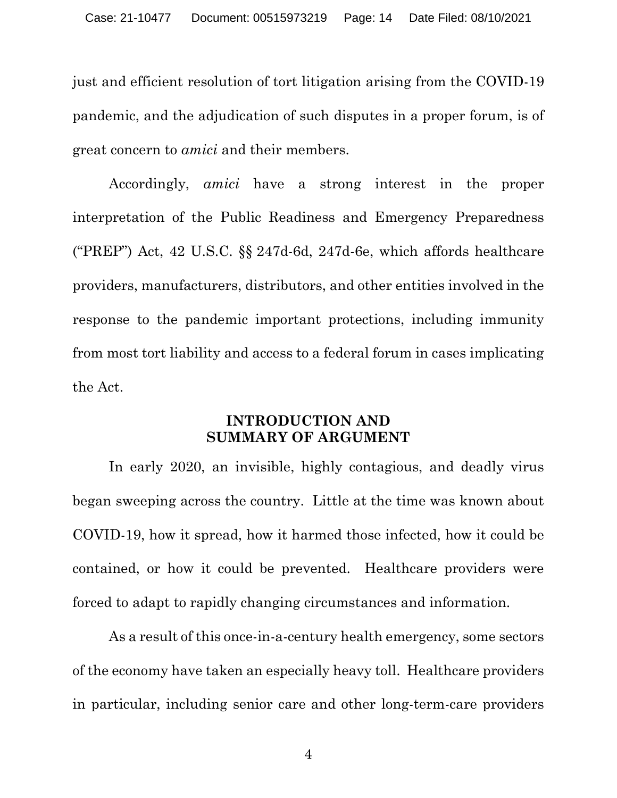just and efficient resolution of tort litigation arising from the COVID-19 pandemic, and the adjudication of such disputes in a proper forum, is of great concern to *amici* and their members.

Accordingly, *amici* have a strong interest in the proper interpretation of the Public Readiness and Emergency Preparedness ("PREP") Act, 42 U.S.C. §§ 247d-6d, 247d-6e, which affords healthcare providers, manufacturers, distributors, and other entities involved in the response to the pandemic important protections, including immunity from most tort liability and access to a federal forum in cases implicating the Act.

### **INTRODUCTION AND SUMMARY OF ARGUMENT**

<span id="page-13-0"></span>In early 2020, an invisible, highly contagious, and deadly virus began sweeping across the country. Little at the time was known about COVID-19, how it spread, how it harmed those infected, how it could be contained, or how it could be prevented. Healthcare providers were forced to adapt to rapidly changing circumstances and information.

As a result of this once-in-a-century health emergency, some sectors of the economy have taken an especially heavy toll. Healthcare providers in particular, including senior care and other long-term-care providers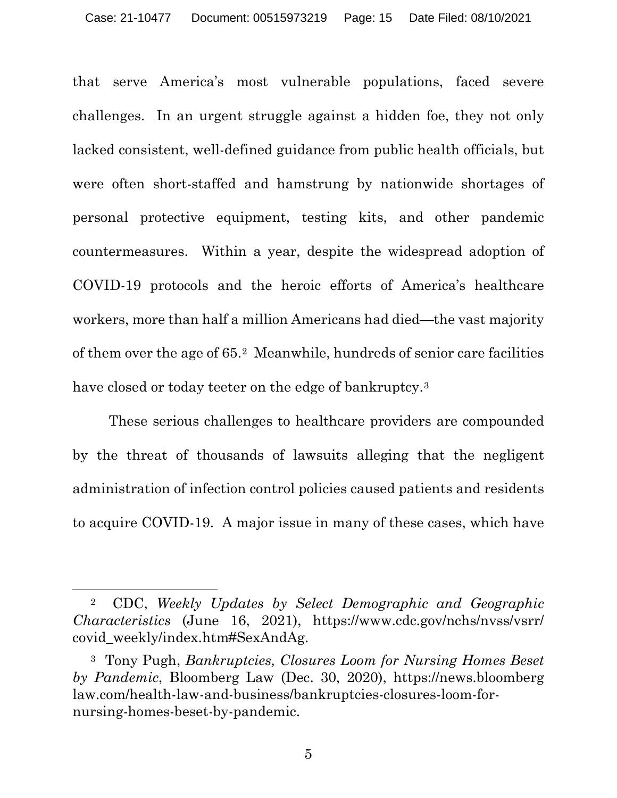that serve America's most vulnerable populations, faced severe challenges. In an urgent struggle against a hidden foe, they not only lacked consistent, well-defined guidance from public health officials, but were often short-staffed and hamstrung by nationwide shortages of personal protective equipment, testing kits, and other pandemic countermeasures. Within a year, despite the widespread adoption of COVID-19 protocols and the heroic efforts of America's healthcare workers, more than half a million Americans had died—the vast majority of them over the age of 65.[2](#page-14-0) Meanwhile, hundreds of senior care facilities have closed or today teeter on the edge of bankruptcy.<sup>[3](#page-14-1)</sup>

These serious challenges to healthcare providers are compounded by the threat of thousands of lawsuits alleging that the negligent administration of infection control policies caused patients and residents to acquire COVID-19. A major issue in many of these cases, which have

<span id="page-14-0"></span><sup>2</sup> CDC, *Weekly Updates by Select Demographic and Geographic Characteristics* (June 16, 2021), https://www.cdc.gov/nchs/nvss/vsrr/ covid\_weekly/index.htm#SexAndAg.

<span id="page-14-1"></span><sup>3</sup> Tony Pugh, *Bankruptcies, Closures Loom for Nursing Homes Beset by Pandemic*, Bloomberg Law (Dec. 30, 2020), https://news.bloomberg law.com/health-law-and-business/bankruptcies-closures-loom-fornursing-homes-beset-by-pandemic.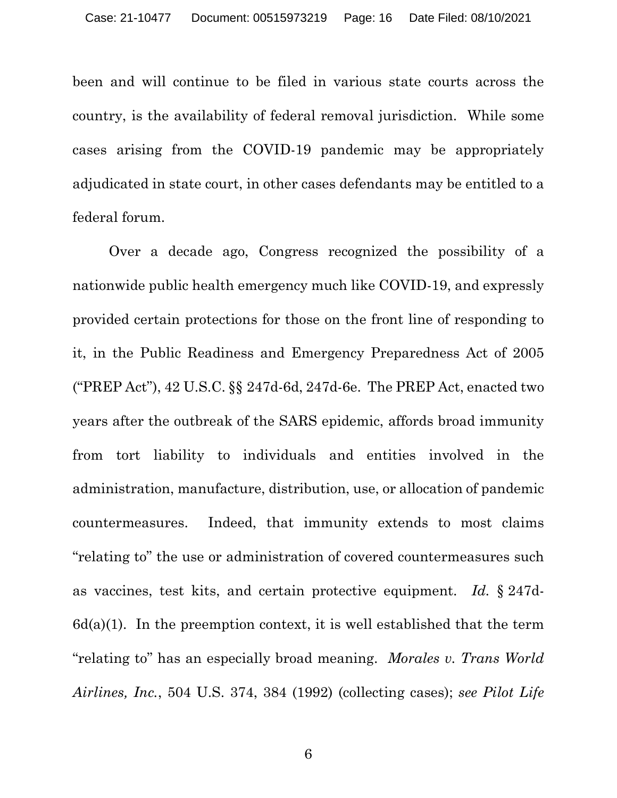been and will continue to be filed in various state courts across the country, is the availability of federal removal jurisdiction. While some cases arising from the COVID-19 pandemic may be appropriately adjudicated in state court, in other cases defendants may be entitled to a federal forum.

Over a decade ago, Congress recognized the possibility of a nationwide public health emergency much like COVID-19, and expressly provided certain protections for those on the front line of responding to it, in the Public Readiness and Emergency Preparedness Act of 2005 ("PREP Act"), 42 U.S.C. §§ 247d-6d, 247d-6e. The PREP Act, enacted two years after the outbreak of the SARS epidemic, affords broad immunity from tort liability to individuals and entities involved in the administration, manufacture, distribution, use, or allocation of pandemic countermeasures. Indeed, that immunity extends to most claims "relating to" the use or administration of covered countermeasures such as vaccines, test kits, and certain protective equipment. *Id.* § 247d- $6d(a)(1)$ . In the preemption context, it is well established that the term "relating to" has an especially broad meaning. *Morales v. Trans World Airlines, Inc.*, 504 U.S. 374, 384 (1992) (collecting cases); *see Pilot Life*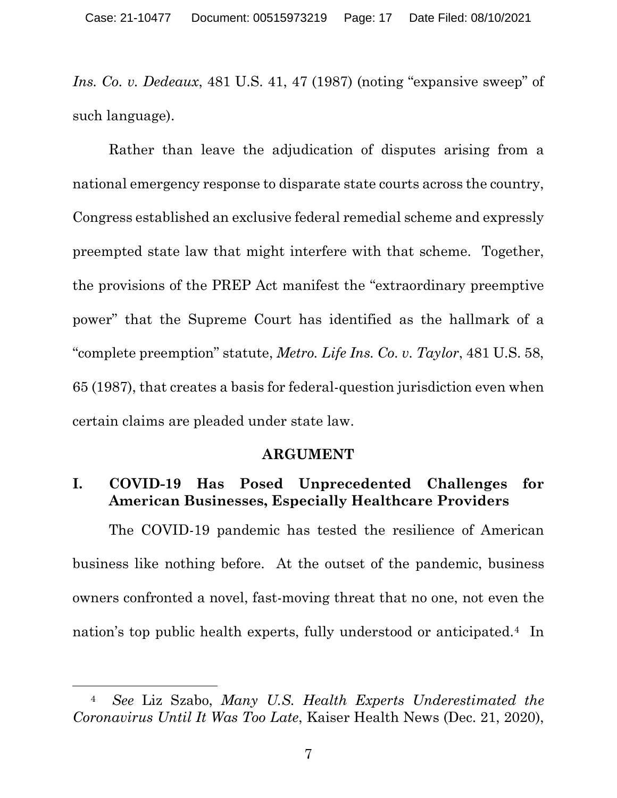*Ins. Co. v. Dedeaux*, 481 U.S. 41, 47 (1987) (noting "expansive sweep" of such language).

Rather than leave the adjudication of disputes arising from a national emergency response to disparate state courts across the country, Congress established an exclusive federal remedial scheme and expressly preempted state law that might interfere with that scheme. Together, the provisions of the PREP Act manifest the "extraordinary preemptive power" that the Supreme Court has identified as the hallmark of a "complete preemption" statute, *Metro. Life Ins. Co. v. Taylor*, 481 U.S. 58, 65 (1987), that creates a basis for federal-question jurisdiction even when certain claims are pleaded under state law.

#### **ARGUMENT**

### <span id="page-16-1"></span><span id="page-16-0"></span>**I. COVID-19 Has Posed Unprecedented Challenges for American Businesses, Especially Healthcare Providers**

The COVID-19 pandemic has tested the resilience of American business like nothing before. At the outset of the pandemic, business owners confronted a novel, fast-moving threat that no one, not even the nation's top public health experts, fully understood or anticipated[.4](#page-16-2) In

<span id="page-16-2"></span><sup>4</sup> *See* Liz Szabo, *Many U.S. Health Experts Underestimated the Coronavirus Until It Was Too Late*, Kaiser Health News (Dec. 21, 2020),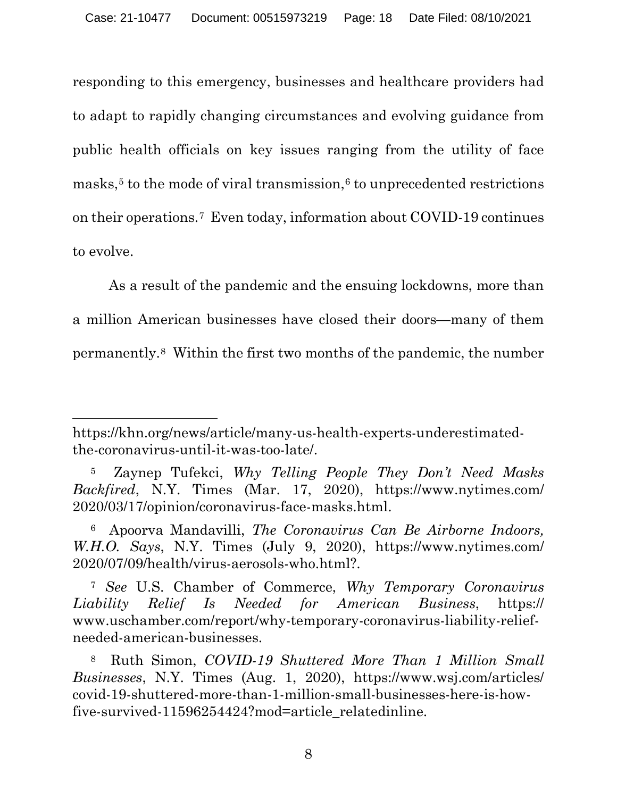responding to this emergency, businesses and healthcare providers had to adapt to rapidly changing circumstances and evolving guidance from public health officials on key issues ranging from the utility of face masks, $5$  to the mode of viral transmission, $6$  to unprecedented restrictions on their operations.[7](#page-17-2) Even today, information about COVID-19 continues to evolve.

As a result of the pandemic and the ensuing lockdowns, more than a million American businesses have closed their doors—many of them permanently.[8](#page-17-3) Within the first two months of the pandemic, the number

https://khn.org/news/article/many-us-health-experts-underestimatedthe-coronavirus-until-it-was-too-late/.

<span id="page-17-0"></span><sup>5</sup> Zaynep Tufekci, *Why Telling People They Don't Need Masks Backfired*, N.Y. Times (Mar. 17, 2020), https://www.nytimes.com/ 2020/03/17/opinion/coronavirus-face-masks.html.

<span id="page-17-1"></span><sup>6</sup> Apoorva Mandavilli, *The Coronavirus Can Be Airborne Indoors, W.H.O. Says*, N.Y. Times (July 9, 2020), https://www.nytimes.com/ 2020/07/09/health/virus-aerosols-who.html?.

<span id="page-17-2"></span><sup>7</sup> *See* U.S. Chamber of Commerce, *Why Temporary Coronavirus Liability Relief Is Needed for American Business*, https:// www.uschamber.com/report/why-temporary-coronavirus-liability-reliefneeded-american-businesses.

<span id="page-17-3"></span><sup>8</sup> Ruth Simon, *COVID-19 Shuttered More Than 1 Million Small Businesses*, N.Y. Times (Aug. 1, 2020), https://www.wsj.com/articles/ covid-19-shuttered-more-than-1-million-small-businesses-here-is-howfive-survived-11596254424?mod=article\_relatedinline.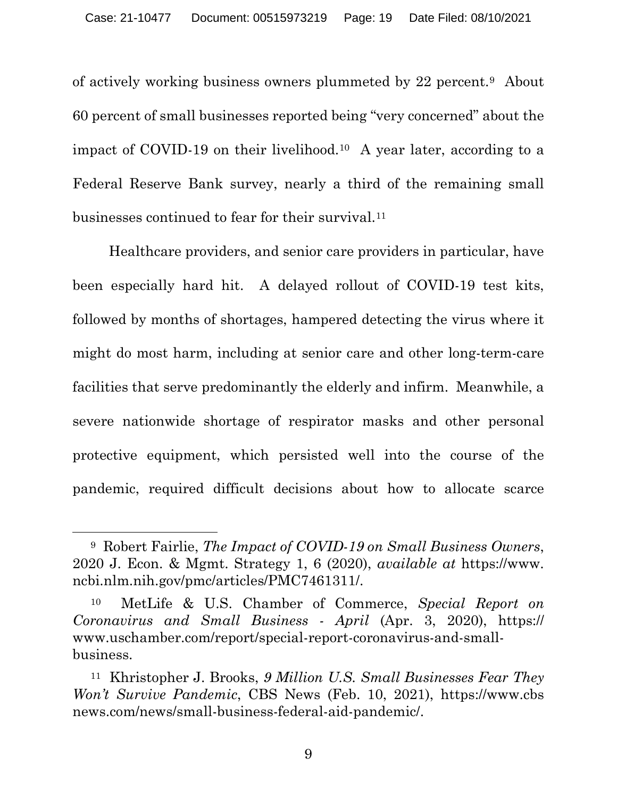of actively working business owners plummeted by 22 percent.[9](#page-18-0) About 60 percent of small businesses reported being "very concerned" about the impact of COVID-19 on their livelihood.<sup>[10](#page-18-1)</sup> A year later, according to a Federal Reserve Bank survey, nearly a third of the remaining small businesses continued to fear for their survival.[11](#page-18-2)

Healthcare providers, and senior care providers in particular, have been especially hard hit. A delayed rollout of COVID-19 test kits, followed by months of shortages, hampered detecting the virus where it might do most harm, including at senior care and other long-term-care facilities that serve predominantly the elderly and infirm. Meanwhile, a severe nationwide shortage of respirator masks and other personal protective equipment, which persisted well into the course of the pandemic, required difficult decisions about how to allocate scarce

<span id="page-18-0"></span><sup>9</sup> Robert Fairlie, *The Impact of COVID-19 on Small Business Owners*, 2020 J. Econ. & Mgmt. Strategy 1, 6 (2020), *available at* https://www. ncbi.nlm.nih.gov/pmc/articles/PMC7461311/.

<span id="page-18-1"></span><sup>10</sup> MetLife & U.S. Chamber of Commerce, *Special Report on Coronavirus and Small Business - April* (Apr. 3, 2020), https:// www.uschamber.com/report/special-report-coronavirus-and-smallbusiness.

<span id="page-18-2"></span><sup>11</sup> Khristopher J. Brooks, *9 Million U.S. Small Businesses Fear They Won't Survive Pandemic*, CBS News (Feb. 10, 2021), https://www.cbs news.com/news/small-business-federal-aid-pandemic/.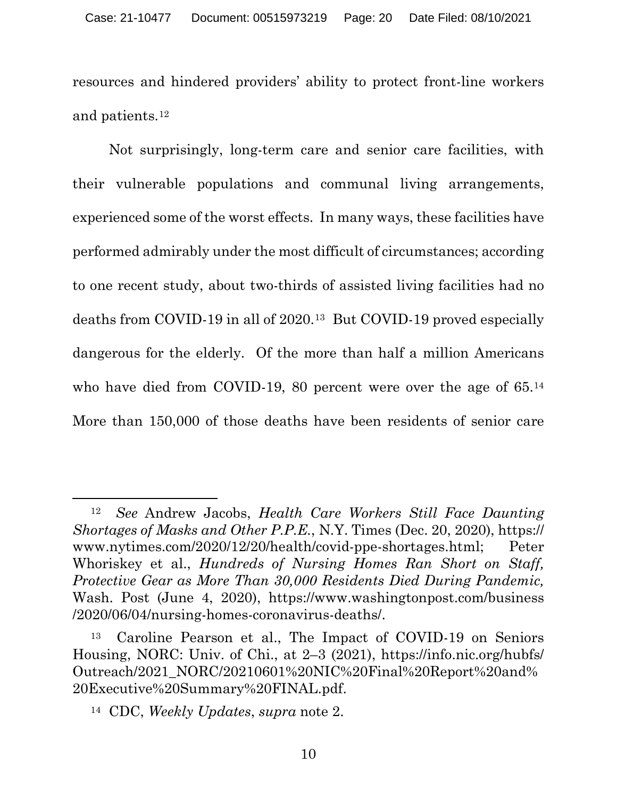resources and hindered providers' ability to protect front-line workers and patients.[12](#page-19-0) 

Not surprisingly, long-term care and senior care facilities, with their vulnerable populations and communal living arrangements, experienced some of the worst effects. In many ways, these facilities have performed admirably under the most difficult of circumstances; according to one recent study, about two-thirds of assisted living facilities had no deaths from COVID-19 in all of 2020[.13](#page-19-1) But COVID-19 proved especially dangerous for the elderly. Of the more than half a million Americans who have died from COVID-19, 80 percent were over the age of 65.<sup>[14](#page-19-2)</sup> More than 150,000 of those deaths have been residents of senior care

<span id="page-19-0"></span><sup>12</sup> *See* Andrew Jacobs, *Health Care Workers Still Face Daunting Shortages of Masks and Other P.P.E.*, N.Y. Times (Dec. 20, 2020), https:// www.nytimes.com/2020/12/20/health/covid-ppe-shortages.html; Peter Whoriskey et al., *Hundreds of Nursing Homes Ran Short on Staff, Protective Gear as More Than 30,000 Residents Died During Pandemic,* Wash. Post (June 4, 2020), https://www.washingtonpost.com/business /2020/06/04/nursing-homes-coronavirus-deaths/.

<span id="page-19-1"></span><sup>13</sup> Caroline Pearson et al., The Impact of COVID-19 on Seniors Housing, NORC: Univ. of Chi., at 2–3 (2021), https://info.nic.org/hubfs/ Outreach/2021\_NORC/20210601%20NIC%20Final%20Report%20and% 20Executive%20Summary%20FINAL.pdf.

<span id="page-19-2"></span><sup>14</sup> CDC, *Weekly Updates*, *supra* note 2.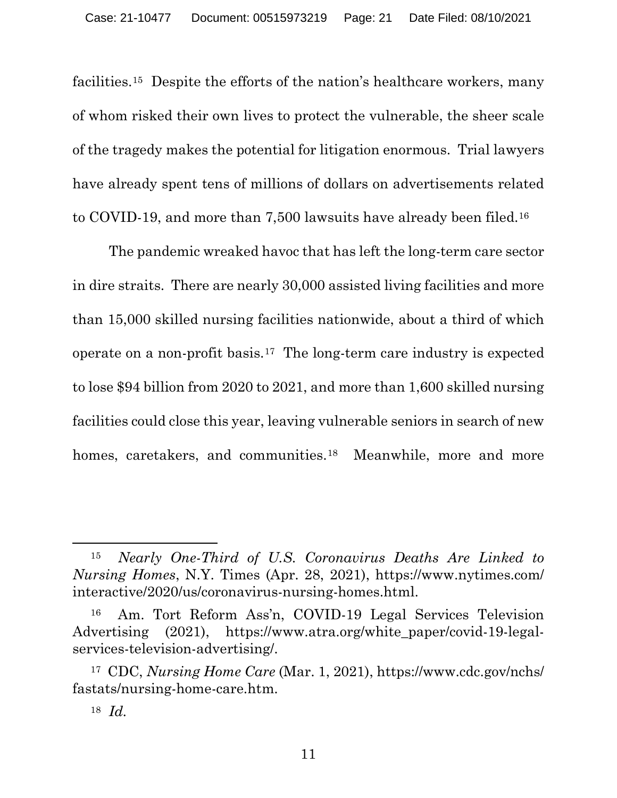facilities.[15](#page-20-0) Despite the efforts of the nation's healthcare workers, many of whom risked their own lives to protect the vulnerable, the sheer scale of the tragedy makes the potential for litigation enormous. Trial lawyers have already spent tens of millions of dollars on advertisements related to COVID-19, and more than 7,500 lawsuits have already been filed.[16](#page-20-1)

The pandemic wreaked havoc that has left the long-term care sector in dire straits. There are nearly 30,000 assisted living facilities and more than 15,000 skilled nursing facilities nationwide, about a third of which operate on a non-profit basis.[17](#page-20-2) The long-term care industry is expected to lose \$94 billion from 2020 to 2021, and more than 1,600 skilled nursing facilities could close this year, leaving vulnerable seniors in search of new homes, caretakers, and communities.<sup>[18](#page-20-3)</sup> Meanwhile, more and more

<span id="page-20-0"></span><sup>15</sup> *Nearly One-Third of U.S. Coronavirus Deaths Are Linked to Nursing Homes*, N.Y. Times (Apr. 28, 2021), https://www.nytimes.com/ interactive/2020/us/coronavirus-nursing-homes.html.

<span id="page-20-1"></span><sup>16</sup> Am. Tort Reform Ass'n, COVID-19 Legal Services Television Advertising (2021), https://www.atra.org/white\_paper/covid-19-legalservices-television-advertising/.

<span id="page-20-3"></span><span id="page-20-2"></span><sup>17</sup> CDC, *Nursing Home Care* (Mar. 1, 2021), https://www.cdc.gov/nchs/ fastats/nursing-home-care.htm.

<sup>18</sup> *Id.*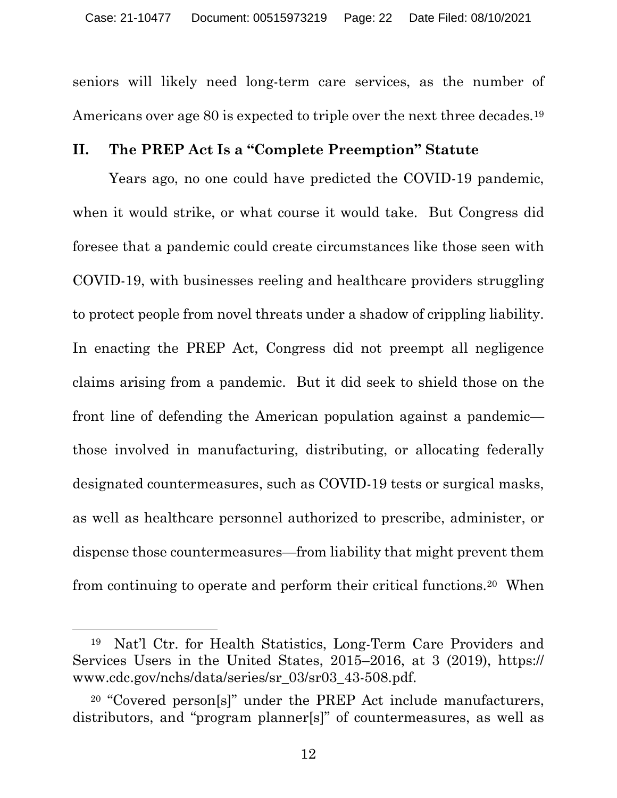seniors will likely need long-term care services, as the number of Americans over age 80 is expected to triple over the next three decades.<sup>[19](#page-21-1)</sup>

### <span id="page-21-0"></span>**II. The PREP Act Is a "Complete Preemption" Statute**

Years ago, no one could have predicted the COVID-19 pandemic, when it would strike, or what course it would take. But Congress did foresee that a pandemic could create circumstances like those seen with COVID-19, with businesses reeling and healthcare providers struggling to protect people from novel threats under a shadow of crippling liability. In enacting the PREP Act, Congress did not preempt all negligence claims arising from a pandemic. But it did seek to shield those on the front line of defending the American population against a pandemic those involved in manufacturing, distributing, or allocating federally designated countermeasures, such as COVID-19 tests or surgical masks, as well as healthcare personnel authorized to prescribe, administer, or dispense those countermeasures—from liability that might prevent them from continuing to operate and perform their critical functions[.20](#page-21-2) When

<span id="page-21-1"></span><sup>19</sup> Nat'l Ctr. for Health Statistics, Long-Term Care Providers and Services Users in the United States, 2015–2016, at 3 (2019), https:// www.cdc.gov/nchs/data/series/sr\_03/sr03\_43-508.pdf.

<span id="page-21-2"></span><sup>20</sup> "Covered person[s]" under the PREP Act include manufacturers, distributors, and "program planner[s]" of countermeasures, as well as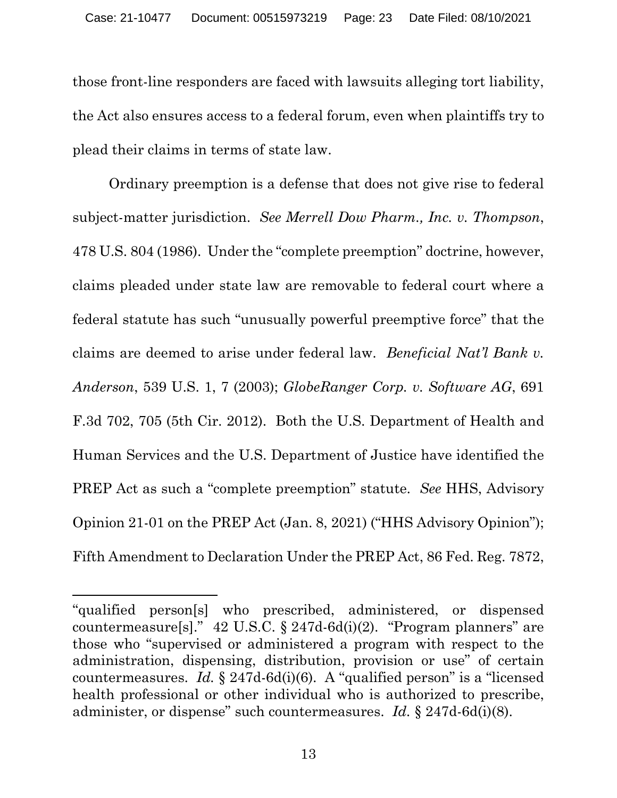those front-line responders are faced with lawsuits alleging tort liability, the Act also ensures access to a federal forum, even when plaintiffs try to plead their claims in terms of state law.

Ordinary preemption is a defense that does not give rise to federal subject-matter jurisdiction. *See Merrell Dow Pharm., Inc. v. Thompson*, 478 U.S. 804 (1986).Under the "complete preemption" doctrine, however, claims pleaded under state law are removable to federal court where a federal statute has such "unusually powerful preemptive force" that the claims are deemed to arise under federal law. *Beneficial Nat'l Bank v. Anderson*, 539 U.S. 1, 7 (2003); *GlobeRanger Corp. v. Software AG*, 691 F.3d 702, 705 (5th Cir. 2012). Both the U.S. Department of Health and Human Services and the U.S. Department of Justice have identified the PREP Act as such a "complete preemption" statute. *See* HHS, Advisory Opinion 21-01 on the PREP Act (Jan. 8, 2021) ("HHS Advisory Opinion"); Fifth Amendment to Declaration Under the PREP Act, 86 Fed. Reg. 7872,

<sup>&</sup>quot;qualified person[s] who prescribed, administered, or dispensed countermeasure[s]." 42 U.S.C. § 247d-6d(i)(2). "Program planners" are those who "supervised or administered a program with respect to the administration, dispensing, distribution, provision or use" of certain countermeasures. *Id.* § 247d-6d(i)(6). A "qualified person" is a "licensed health professional or other individual who is authorized to prescribe, administer, or dispense" such countermeasures. *Id.* § 247d-6d(i)(8).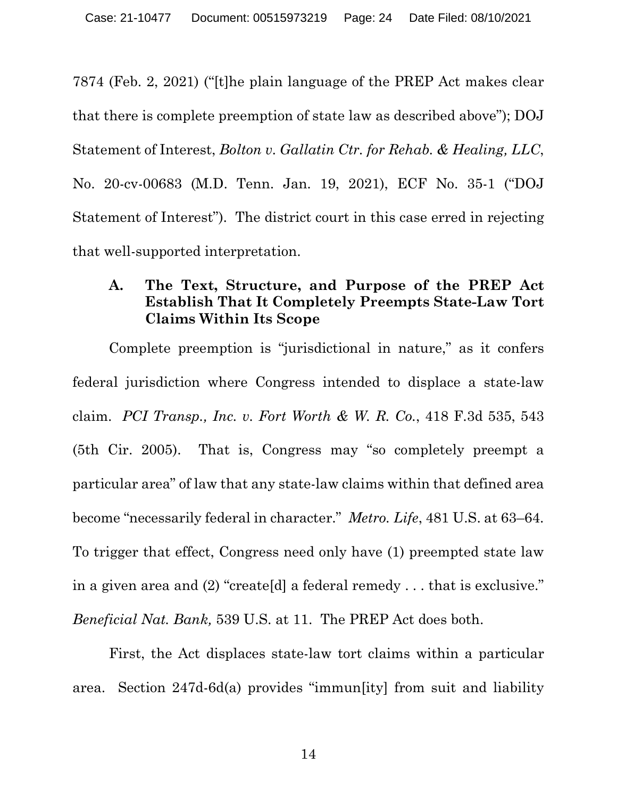7874 (Feb. 2, 2021) ("[t]he plain language of the PREP Act makes clear that there is complete preemption of state law as described above"); DOJ Statement of Interest, *Bolton v. Gallatin Ctr. for Rehab. & Healing, LLC*, No. 20-cv-00683 (M.D. Tenn. Jan. 19, 2021), ECF No. 35-1 ("DOJ Statement of Interest").The district court in this case erred in rejecting that well-supported interpretation.

# <span id="page-23-0"></span>**A. The Text, Structure, and Purpose of the PREP Act Establish That It Completely Preempts State-Law Tort Claims Within Its Scope**

Complete preemption is "jurisdictional in nature," as it confers federal jurisdiction where Congress intended to displace a state-law claim. *PCI Transp., Inc. v. Fort Worth & W. R. Co.*, 418 F.3d 535, 543 (5th Cir. 2005). That is, Congress may "so completely preempt a particular area" of law that any state-law claims within that defined area become "necessarily federal in character." *Metro. Life*, 481 U.S. at 63–64. To trigger that effect, Congress need only have (1) preempted state law in a given area and (2) "create[d] a federal remedy . . . that is exclusive." *Beneficial Nat. Bank,* 539 U.S. at 11. The PREP Act does both.

First, the Act displaces state-law tort claims within a particular area. Section 247d-6d(a) provides "immun[ity] from suit and liability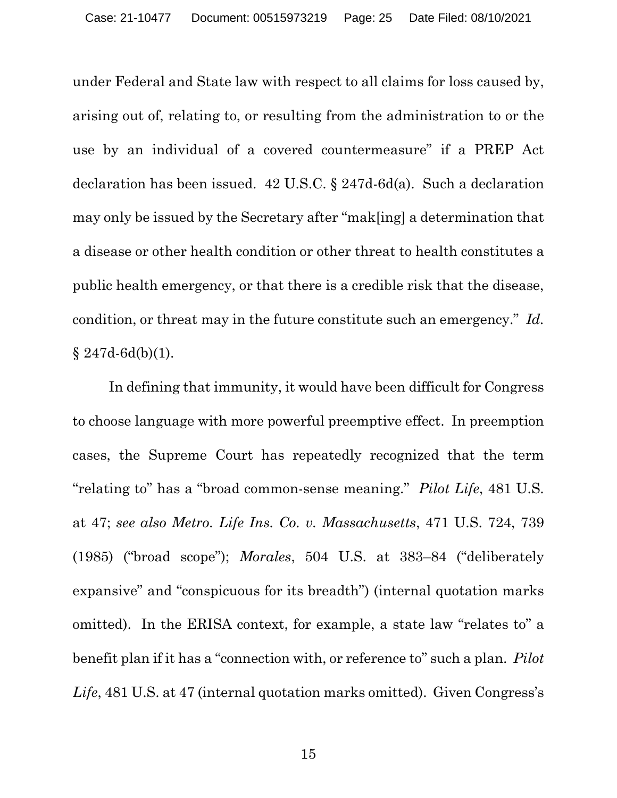under Federal and State law with respect to all claims for loss caused by, arising out of, relating to, or resulting from the administration to or the use by an individual of a covered countermeasure" if a PREP Act declaration has been issued. 42 U.S.C. § 247d-6d(a). Such a declaration may only be issued by the Secretary after "mak[ing] a determination that a disease or other health condition or other threat to health constitutes a public health emergency, or that there is a credible risk that the disease, condition, or threat may in the future constitute such an emergency." *Id.*  § 247d-6d(b)(1).

In defining that immunity, it would have been difficult for Congress to choose language with more powerful preemptive effect. In preemption cases, the Supreme Court has repeatedly recognized that the term "relating to" has a "broad common-sense meaning." *Pilot Life*, 481 U.S. at 47; *see also Metro. Life Ins. Co. v. Massachusetts*, 471 U.S. 724, 739 (1985) ("broad scope"); *Morales*, 504 U.S. at 383–84 ("deliberately expansive" and "conspicuous for its breadth") (internal quotation marks omitted). In the ERISA context, for example, a state law "relates to" a benefit plan if it has a "connection with, or reference to" such a plan. *Pilot*  Life, 481 U.S. at 47 (internal quotation marks omitted). Given Congress's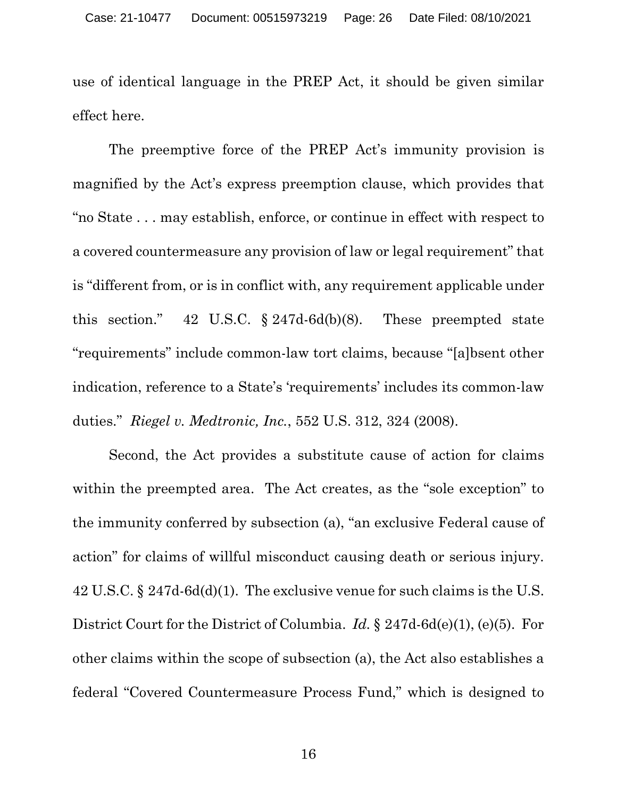use of identical language in the PREP Act, it should be given similar effect here.

The preemptive force of the PREP Act's immunity provision is magnified by the Act's express preemption clause, which provides that "no State . . . may establish, enforce, or continue in effect with respect to a covered countermeasure any provision of law or legal requirement" that is "different from, or is in conflict with, any requirement applicable under this section." 42 U.S.C. § 247d-6d(b)(8). These preempted state "requirements" include common-law tort claims, because "[a]bsent other indication, reference to a State's 'requirements' includes its common-law duties." *Riegel v. Medtronic, Inc.*, 552 U.S. 312, 324 (2008).

Second, the Act provides a substitute cause of action for claims within the preempted area. The Act creates, as the "sole exception" to the immunity conferred by subsection (a), "an exclusive Federal cause of action" for claims of willful misconduct causing death or serious injury. 42 U.S.C. § 247d-6d(d)(1). The exclusive venue for such claims is the U.S. District Court for the District of Columbia. *Id.* § 247d-6d(e)(1), (e)(5). For other claims within the scope of subsection (a), the Act also establishes a federal "Covered Countermeasure Process Fund," which is designed to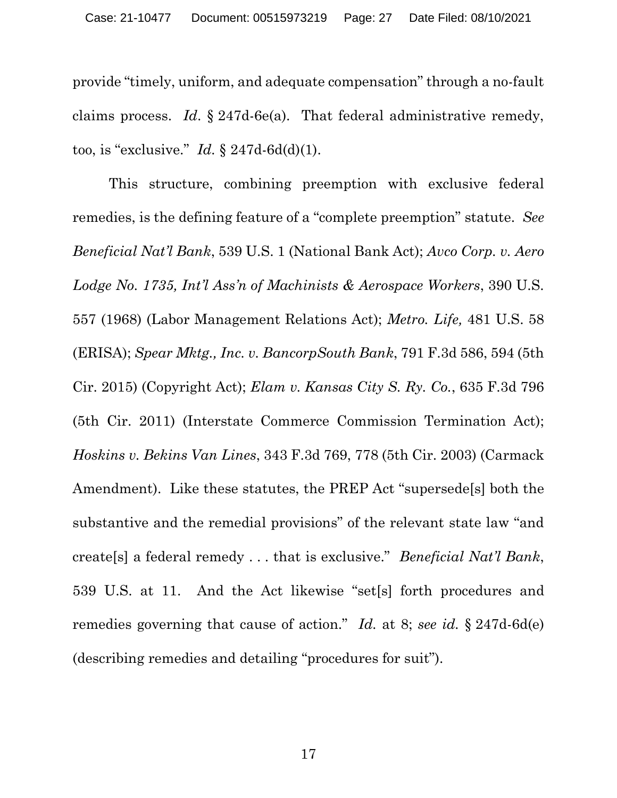provide "timely, uniform, and adequate compensation" through a no-fault claims process. *Id*. § 247d-6e(a). That federal administrative remedy, too, is "exclusive." *Id.* § 247d-6d(d)(1).

This structure, combining preemption with exclusive federal remedies, is the defining feature of a "complete preemption" statute. *See Beneficial Nat'l Bank*, 539 U.S. 1 (National Bank Act); *Avco Corp. v. Aero Lodge No. 1735, Int'l Ass'n of Machinists & Aerospace Workers*, 390 U.S. 557 (1968) (Labor Management Relations Act); *Metro. Life,* 481 U.S. 58 (ERISA); *Spear Mktg., Inc. v. BancorpSouth Bank*, 791 F.3d 586, 594 (5th Cir. 2015) (Copyright Act); *Elam v. Kansas City S. Ry. Co.*, 635 F.3d 796 (5th Cir. 2011) (Interstate Commerce Commission Termination Act); *Hoskins v. Bekins Van Lines*, 343 F.3d 769, 778 (5th Cir. 2003) (Carmack Amendment).Like these statutes, the PREP Act "supersede[s] both the substantive and the remedial provisions" of the relevant state law "and create[s] a federal remedy . . . that is exclusive." *Beneficial Nat'l Bank*, 539 U.S. at 11. And the Act likewise "set[s] forth procedures and remedies governing that cause of action." *Id.* at 8; *see id.* § 247d-6d(e) (describing remedies and detailing "procedures for suit").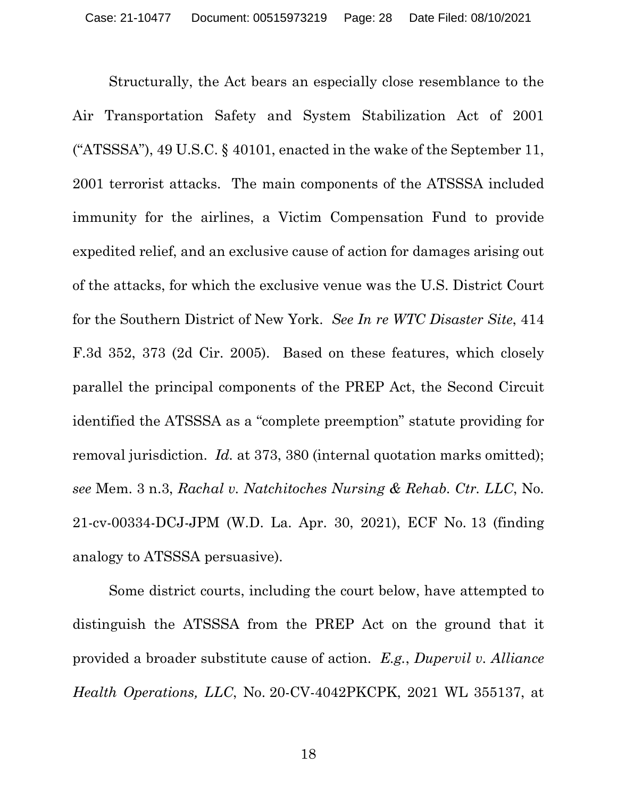Structurally, the Act bears an especially close resemblance to the Air Transportation Safety and System Stabilization Act of 2001 ("ATSSSA"), 49 U.S.C. § 40101, enacted in the wake of the September 11, 2001 terrorist attacks. The main components of the ATSSSA included immunity for the airlines, a Victim Compensation Fund to provide expedited relief, and an exclusive cause of action for damages arising out of the attacks, for which the exclusive venue was the U.S. District Court for the Southern District of New York. *See In re WTC Disaster Site*, 414 F.3d 352, 373 (2d Cir. 2005). Based on these features, which closely parallel the principal components of the PREP Act, the Second Circuit identified the ATSSSA as a "complete preemption" statute providing for removal jurisdiction. *Id.* at 373, 380 (internal quotation marks omitted); *see* Mem. 3 n.3, *Rachal v. Natchitoches Nursing & Rehab. Ctr. LLC*, No. 21-cv-00334-DCJ-JPM (W.D. La. Apr. 30, 2021), ECF No. 13 (finding analogy to ATSSSA persuasive).

Some district courts, including the court below, have attempted to distinguish the ATSSSA from the PREP Act on the ground that it provided a broader substitute cause of action. *E.g.*, *Dupervil v. Alliance Health Operations, LLC*, No. 20-CV-4042PKCPK, 2021 WL 355137, at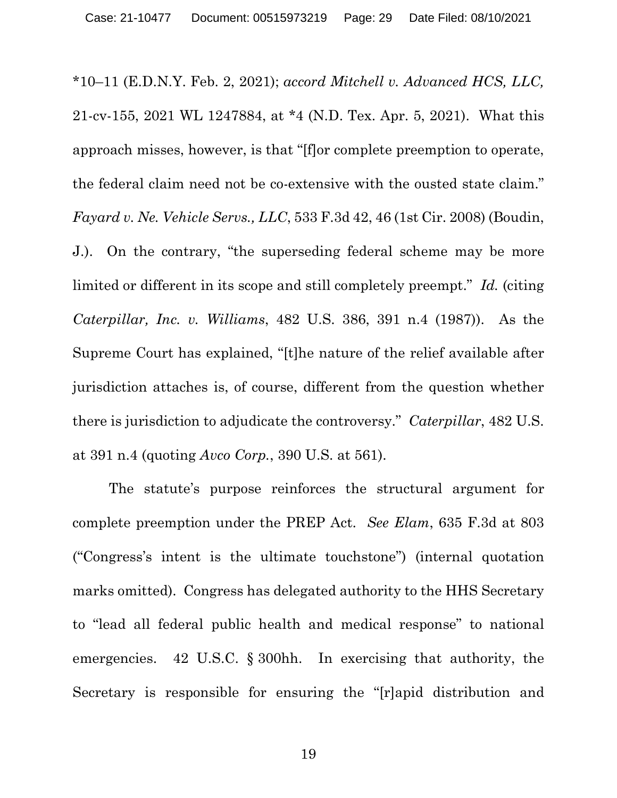\*10–11 (E.D.N.Y. Feb. 2, 2021); *accord Mitchell v. Advanced HCS, LLC,*  21-cv-155, 2021 WL 1247884, at \*4 (N.D. Tex. Apr. 5, 2021). What this approach misses, however, is that "[f]or complete preemption to operate, the federal claim need not be co-extensive with the ousted state claim." *Fayard v. Ne. Vehicle Servs., LLC*, 533 F.3d 42, 46 (1st Cir. 2008) (Boudin, J.). On the contrary, "the superseding federal scheme may be more limited or different in its scope and still completely preempt." *Id.* (citing *Caterpillar, Inc. v. Williams*, 482 U.S. 386, 391 n.4 (1987)). As the Supreme Court has explained, "[t]he nature of the relief available after jurisdiction attaches is, of course, different from the question whether there is jurisdiction to adjudicate the controversy." *Caterpillar*, 482 U.S. at 391 n.4 (quoting *Avco Corp.*, 390 U.S. at 561).

The statute's purpose reinforces the structural argument for complete preemption under the PREP Act. *See Elam*, 635 F.3d at 803 ("Congress's intent is the ultimate touchstone") (internal quotation marks omitted). Congress has delegated authority to the HHS Secretary to "lead all federal public health and medical response" to national emergencies. 42 U.S.C. § 300hh. In exercising that authority, the Secretary is responsible for ensuring the "[r]apid distribution and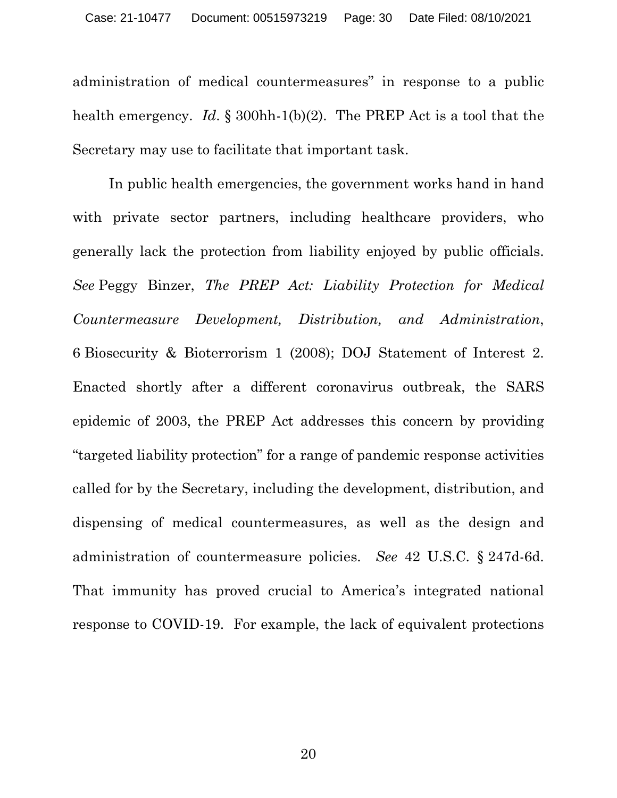administration of medical countermeasures" in response to a public health emergency. *Id*. § 300hh-1(b)(2). The PREP Act is a tool that the Secretary may use to facilitate that important task.

In public health emergencies, the government works hand in hand with private sector partners, including healthcare providers, who generally lack the protection from liability enjoyed by public officials. *See* Peggy Binzer, *The PREP Act: Liability Protection for Medical Countermeasure Development, Distribution, and Administration*, 6 Biosecurity & Bioterrorism 1 (2008); DOJ Statement of Interest 2. Enacted shortly after a different coronavirus outbreak, the SARS epidemic of 2003, the PREP Act addresses this concern by providing "targeted liability protection" for a range of pandemic response activities called for by the Secretary, including the development, distribution, and dispensing of medical countermeasures, as well as the design and administration of countermeasure policies. *See* 42 U.S.C. § 247d-6d. That immunity has proved crucial to America's integrated national response to COVID-19. For example, the lack of equivalent protections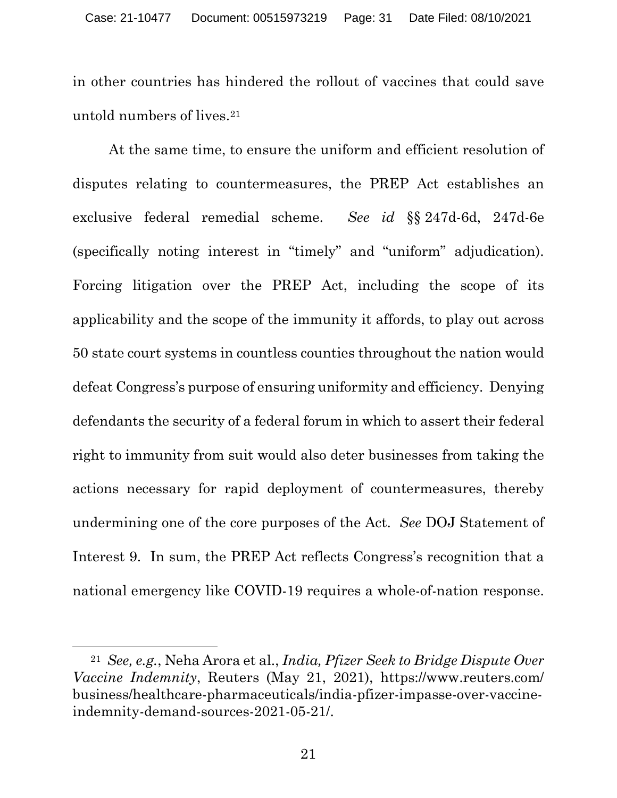in other countries has hindered the rollout of vaccines that could save untold numbers of lives.[21](#page-30-0) 

At the same time, to ensure the uniform and efficient resolution of disputes relating to countermeasures, the PREP Act establishes an exclusive federal remedial scheme. *See id* §§ 247d-6d, 247d-6e (specifically noting interest in "timely" and "uniform" adjudication). Forcing litigation over the PREP Act, including the scope of its applicability and the scope of the immunity it affords, to play out across 50 state court systems in countless counties throughout the nation would defeat Congress's purpose of ensuring uniformity and efficiency. Denying defendants the security of a federal forum in which to assert their federal right to immunity from suit would also deter businesses from taking the actions necessary for rapid deployment of countermeasures, thereby undermining one of the core purposes of the Act. *See* DOJ Statement of Interest 9. In sum, the PREP Act reflects Congress's recognition that a national emergency like COVID-19 requires a whole-of-nation response.

<span id="page-30-0"></span><sup>21</sup> *See, e.g.*, Neha Arora et al., *India, Pfizer Seek to Bridge Dispute Over Vaccine Indemnity*, Reuters (May 21, 2021), https://www.reuters.com/ business/healthcare-pharmaceuticals/india-pfizer-impasse-over-vaccineindemnity-demand-sources-2021-05-21/.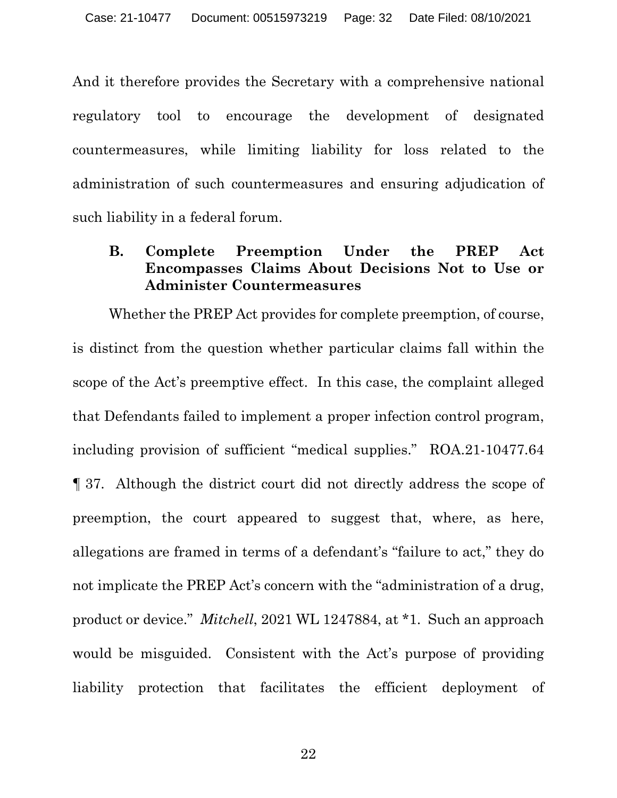And it therefore provides the Secretary with a comprehensive national regulatory tool to encourage the development of designated countermeasures, while limiting liability for loss related to the administration of such countermeasures and ensuring adjudication of such liability in a federal forum.

# <span id="page-31-0"></span>**B. Complete Preemption Under the PREP Act Encompasses Claims About Decisions Not to Use or Administer Countermeasures**

Whether the PREP Act provides for complete preemption, of course, is distinct from the question whether particular claims fall within the scope of the Act's preemptive effect. In this case, the complaint alleged that Defendants failed to implement a proper infection control program, including provision of sufficient "medical supplies." ROA.21-10477.64 ¶ 37. Although the district court did not directly address the scope of preemption, the court appeared to suggest that, where, as here, allegations are framed in terms of a defendant's "failure to act," they do not implicate the PREP Act's concern with the "administration of a drug, product or device." *Mitchell*, 2021 WL 1247884, at \*1. Such an approach would be misguided. Consistent with the Act's purpose of providing liability protection that facilitates the efficient deployment of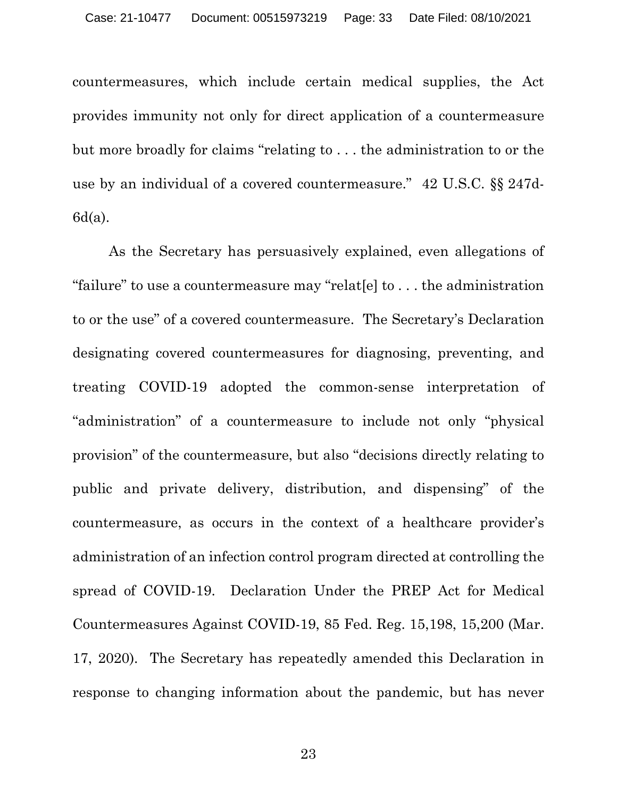countermeasures, which include certain medical supplies, the Act provides immunity not only for direct application of a countermeasure but more broadly for claims "relating to . . . the administration to or the use by an individual of a covered countermeasure." 42 U.S.C. §§ 247d-6d(a).

As the Secretary has persuasively explained, even allegations of "failure" to use a countermeasure may "relat[e] to . . . the administration to or the use" of a covered countermeasure. The Secretary's Declaration designating covered countermeasures for diagnosing, preventing, and treating COVID-19 adopted the common-sense interpretation of "administration" of a countermeasure to include not only "physical provision" of the countermeasure, but also "decisions directly relating to public and private delivery, distribution, and dispensing" of the countermeasure, as occurs in the context of a healthcare provider's administration of an infection control program directed at controlling the spread of COVID-19. Declaration Under the PREP Act for Medical Countermeasures Against COVID-19, 85 Fed. Reg. 15,198, 15,200 (Mar. 17, 2020). The Secretary has repeatedly amended this Declaration in response to changing information about the pandemic, but has never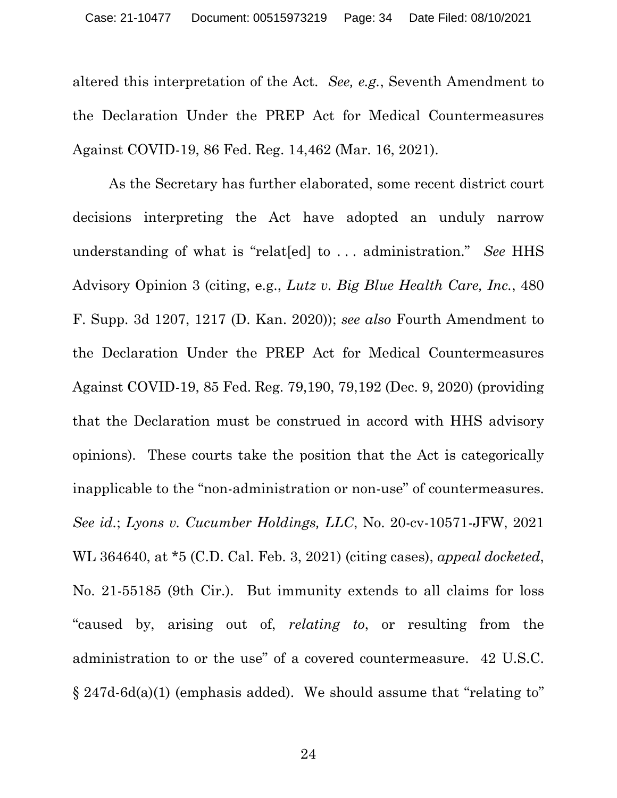altered this interpretation of the Act. *See, e.g.*, Seventh Amendment to the Declaration Under the PREP Act for Medical Countermeasures Against COVID-19, 86 Fed. Reg. 14,462 (Mar. 16, 2021).

As the Secretary has further elaborated, some recent district court decisions interpreting the Act have adopted an unduly narrow understanding of what is "relat[ed] to . . . administration." *See* HHS Advisory Opinion 3 (citing, e.g., *Lutz v. Big Blue Health Care, Inc.*, 480 F. Supp. 3d 1207, 1217 (D. Kan. 2020)); *see also* Fourth Amendment to the Declaration Under the PREP Act for Medical Countermeasures Against COVID-19, 85 Fed. Reg. 79,190, 79,192 (Dec. 9, 2020) (providing that the Declaration must be construed in accord with HHS advisory opinions). These courts take the position that the Act is categorically inapplicable to the "non-administration or non-use" of countermeasures. *See id.*; *Lyons v. Cucumber Holdings, LLC*, No. 20-cv-10571-JFW, 2021 WL 364640, at \*5 (C.D. Cal. Feb. 3, 2021) (citing cases), *appeal docketed*, No. 21-55185 (9th Cir.). But immunity extends to all claims for loss "caused by, arising out of, *relating to*, or resulting from the administration to or the use" of a covered countermeasure. 42 U.S.C.  $\S 247d-6d(a)(1)$  (emphasis added). We should assume that "relating to"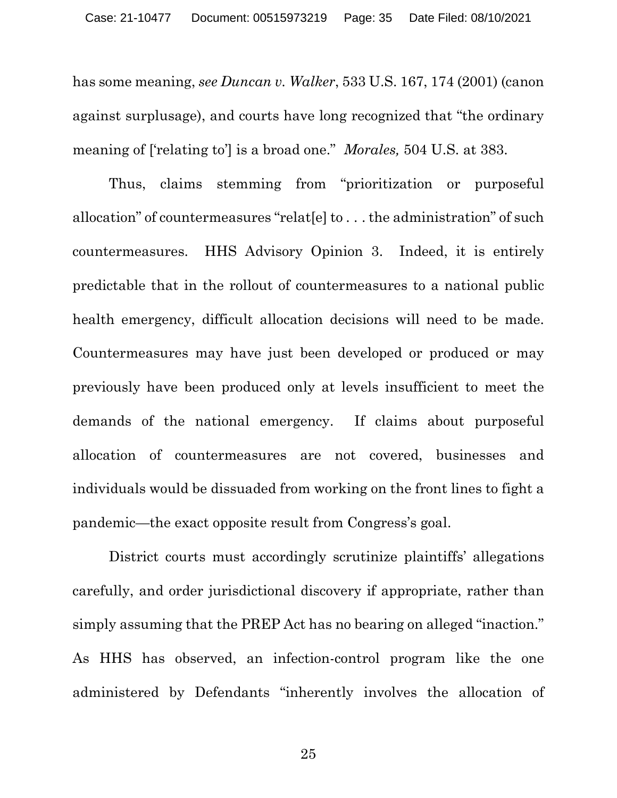has some meaning, *see Duncan v. Walker*, 533 U.S. 167, 174 (2001) (canon against surplusage), and courts have long recognized that "the ordinary meaning of ['relating to'] is a broad one." *Morales,* 504 U.S. at 383.

Thus, claims stemming from "prioritization or purposeful allocation" of countermeasures "relat[e] to . . . the administration" of such countermeasures. HHS Advisory Opinion 3. Indeed, it is entirely predictable that in the rollout of countermeasures to a national public health emergency, difficult allocation decisions will need to be made. Countermeasures may have just been developed or produced or may previously have been produced only at levels insufficient to meet the demands of the national emergency. If claims about purposeful allocation of countermeasures are not covered, businesses and individuals would be dissuaded from working on the front lines to fight a pandemic—the exact opposite result from Congress's goal.

District courts must accordingly scrutinize plaintiffs' allegations carefully, and order jurisdictional discovery if appropriate, rather than simply assuming that the PREP Act has no bearing on alleged "inaction." As HHS has observed, an infection-control program like the one administered by Defendants "inherently involves the allocation of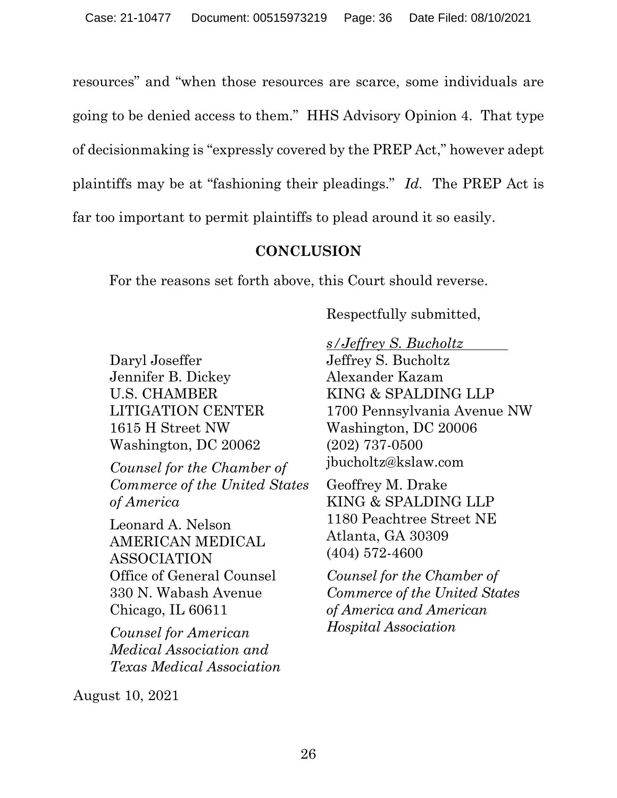resources" and "when those resources are scarce, some individuals are going to be denied access to them." HHS Advisory Opinion 4. That type of decisionmaking is "expressly covered by the PREP Act," however adept plaintiffs may be at "fashioning their pleadings." *Id.* The PREP Act is far too important to permit plaintiffs to plead around it so easily.

# **CONCLUSION**

<span id="page-35-0"></span>For the reasons set forth above, this Court should reverse.

Respectfully submitted,

Daryl Joseffer Jennifer B. Dickey U.S. CHAMBER LITIGATION CENTER 1615 H Street NW Washington, DC 20062

*Counsel for the Chamber of Commerce of the United States of America*

Leonard A. Nelson AMERICAN MEDICAL ASSOCIATION Office of General Counsel 330 N. Wabash Avenue Chicago, IL 60611

*Counsel for American Medical Association and Texas Medical Association*

*s/Jeffrey S. Bucholtz* Jeffrey S. Bucholtz Alexander Kazam KING & SPALDING LLP

1700 Pennsylvania Avenue NW Washington, DC 20006 (202) 737-0500 jbucholtz@kslaw.com

Geoffrey M. Drake KING & SPALDING LLP 1180 Peachtree Street NE Atlanta, GA 30309 (404) 572-4600

*Counsel for the Chamber of Commerce of the United States of America and American Hospital Association*

August 10, 2021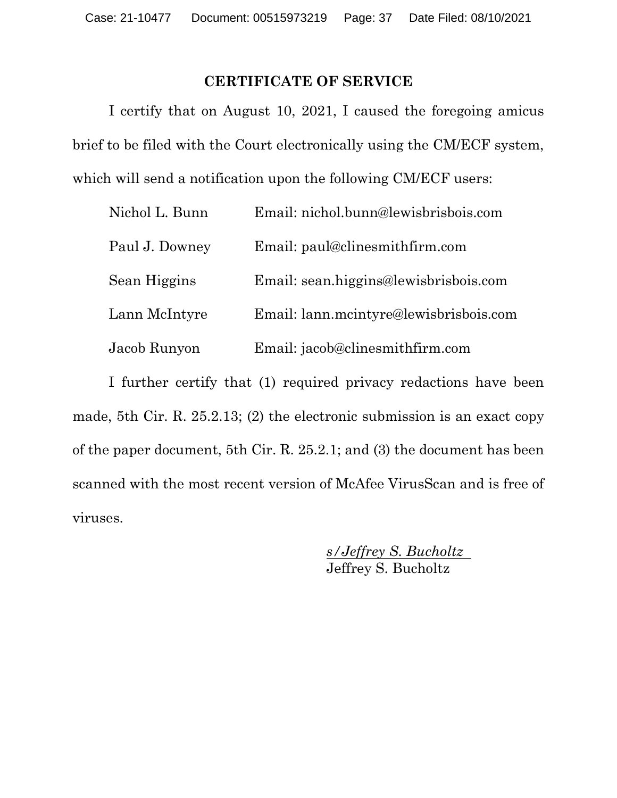### **CERTIFICATE OF SERVICE**

<span id="page-36-0"></span>I certify that on August 10, 2021, I caused the foregoing amicus brief to be filed with the Court electronically using the CM/ECF system, which will send a notification upon the following CM/ECF users:

| Nichol L. Bunn | Email: nichol.bunn@lewisbrisbois.com   |
|----------------|----------------------------------------|
| Paul J. Downey | Email: paul@clinesmithfirm.com         |
| Sean Higgins   | Email: sean.higgins@lewisbrisbois.com  |
| Lann McIntyre  | Email: lann.mcintyre@lewisbrisbois.com |
| Jacob Runyon   | Email: jacob@clinesmithfirm.com        |

I further certify that (1) required privacy redactions have been made, 5th Cir. R. 25.2.13; (2) the electronic submission is an exact copy of the paper document, 5th Cir. R. 25.2.1; and (3) the document has been scanned with the most recent version of McAfee VirusScan and is free of viruses.

> *s/Jeffrey S. Bucholtz* Jeffrey S. Bucholtz